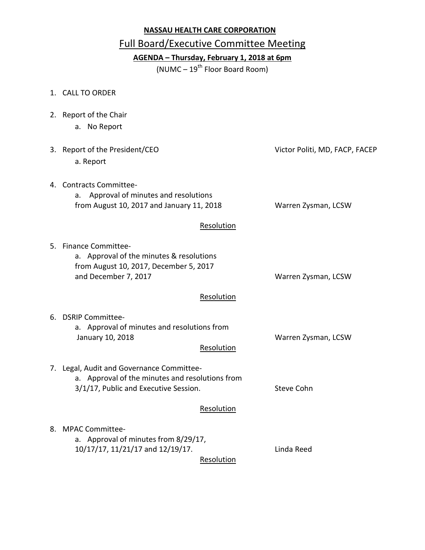## **NASSAU HEALTH CARE CORPORATION**

## Full Board/Executive Committee Meeting

**AGENDA – Thursday, February 1, 2018 at 6pm**

 $(NUMC – 19<sup>th</sup> Floor Board Room)$ 

1. CALL TO ORDER

2. Report of the Chair

| a. No Report                                                                                                                                      |                                |
|---------------------------------------------------------------------------------------------------------------------------------------------------|--------------------------------|
| 3. Report of the President/CEO<br>a. Report                                                                                                       | Victor Politi, MD, FACP, FACEP |
| 4. Contracts Committee-<br>Approval of minutes and resolutions<br>a.<br>from August 10, 2017 and January 11, 2018                                 | Warren Zysman, LCSW            |
| Resolution                                                                                                                                        |                                |
| 5. Finance Committee-<br>a. Approval of the minutes & resolutions<br>from August 10, 2017, December 5, 2017<br>and December 7, 2017<br>Resolution | Warren Zysman, LCSW            |
| 6. DSRIP Committee-<br>a. Approval of minutes and resolutions from<br>January 10, 2018<br>Resolution                                              | Warren Zysman, LCSW            |
| 7. Legal, Audit and Governance Committee-<br>a. Approval of the minutes and resolutions from<br>3/1/17, Public and Executive Session.             | <b>Steve Cohn</b>              |
| Resolution                                                                                                                                        |                                |
| 8. MPAC Committee-<br>a. Approval of minutes from 8/29/17,<br>10/17/17, 11/21/17 and 12/19/17.<br>Resolution                                      | Linda Reed                     |